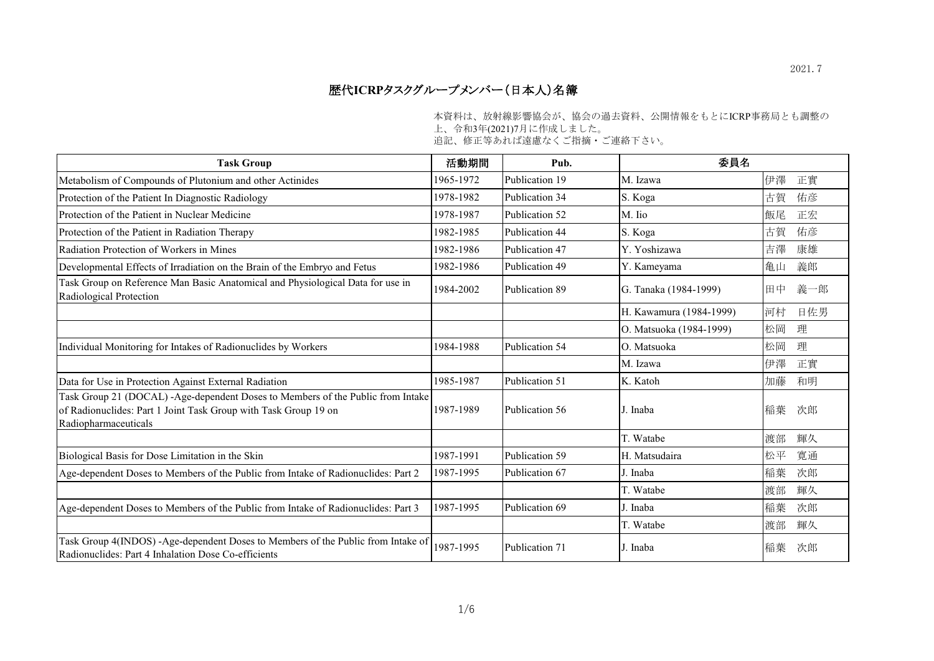## 歴代**ICRP**タスクグループメンバー(日本人)名簿

本資料は、放射線影響協会が、協会の過去資料、公開情報をもとにICRP事務局とも調整の

上、令和3年(2021)7月に作成しました。

追記、修正等あれば遠慮なくご指摘・ご連絡下さい。

| <b>Task Group</b>                                                                                                                                                          | 活動期間      | Pub.           | 委員名                     |    |     |
|----------------------------------------------------------------------------------------------------------------------------------------------------------------------------|-----------|----------------|-------------------------|----|-----|
| Metabolism of Compounds of Plutonium and other Actinides                                                                                                                   | 1965-1972 | Publication 19 | M. Izawa                | 伊澤 | 正實  |
| Protection of the Patient In Diagnostic Radiology                                                                                                                          | 1978-1982 | Publication 34 | S. Koga                 | 古賀 | 佑彦  |
| Protection of the Patient in Nuclear Medicine                                                                                                                              | 1978-1987 | Publication 52 | M. Iio                  | 飯尾 | 正宏  |
| Protection of the Patient in Radiation Therapy                                                                                                                             | 1982-1985 | Publication 44 | S. Koga                 | 古賀 | 佑彦  |
| Radiation Protection of Workers in Mines                                                                                                                                   | 1982-1986 | Publication 47 | Y. Yoshizawa            | 吉澤 | 康雄  |
| Developmental Effects of Irradiation on the Brain of the Embryo and Fetus                                                                                                  | 1982-1986 | Publication 49 | Y. Kameyama             | 亀山 | 義郎  |
| Task Group on Reference Man Basic Anatomical and Physiological Data for use in<br>Radiological Protection                                                                  | 1984-2002 | Publication 89 | G. Tanaka (1984-1999)   | 田中 | 義一郎 |
|                                                                                                                                                                            |           |                | H. Kawamura (1984-1999) | 河村 | 日佐男 |
|                                                                                                                                                                            |           |                | O. Matsuoka (1984-1999) | 松岡 | 理   |
| Individual Monitoring for Intakes of Radionuclides by Workers                                                                                                              | 1984-1988 | Publication 54 | O. Matsuoka             | 松岡 | 理   |
|                                                                                                                                                                            |           |                | M. Izawa                | 伊澤 | 正實  |
| Data for Use in Protection Against External Radiation                                                                                                                      | 1985-1987 | Publication 51 | K. Katoh                | 加藤 | 和明  |
| Task Group 21 (DOCAL) -Age-dependent Doses to Members of the Public from Intake<br>of Radionuclides: Part 1 Joint Task Group with Task Group 19 on<br>Radiopharmaceuticals | 1987-1989 | Publication 56 | J. Inaba                | 稲葉 | 次郎  |
|                                                                                                                                                                            |           |                | T. Watabe               | 渡部 | 輝久  |
| Biological Basis for Dose Limitation in the Skin                                                                                                                           | 1987-1991 | Publication 59 | H. Matsudaira           | 松平 | 寬通  |
| Age-dependent Doses to Members of the Public from Intake of Radionuclides: Part 2                                                                                          | 1987-1995 | Publication 67 | J. Inaba                | 稲葉 | 次郎  |
|                                                                                                                                                                            |           |                | T. Watabe               | 渡部 | 輝久  |
| Age-dependent Doses to Members of the Public from Intake of Radionuclides: Part 3                                                                                          | 1987-1995 | Publication 69 | J. Inaba                | 稲葉 | 次郎  |
|                                                                                                                                                                            |           |                | T. Watabe               | 渡部 | 輝久  |
| Task Group 4(INDOS) -Age-dependent Doses to Members of the Public from Intake of<br>Radionuclides: Part 4 Inhalation Dose Co-efficients                                    | 1987-1995 | Publication 71 | J. Inaba                | 稲葉 | 次郎  |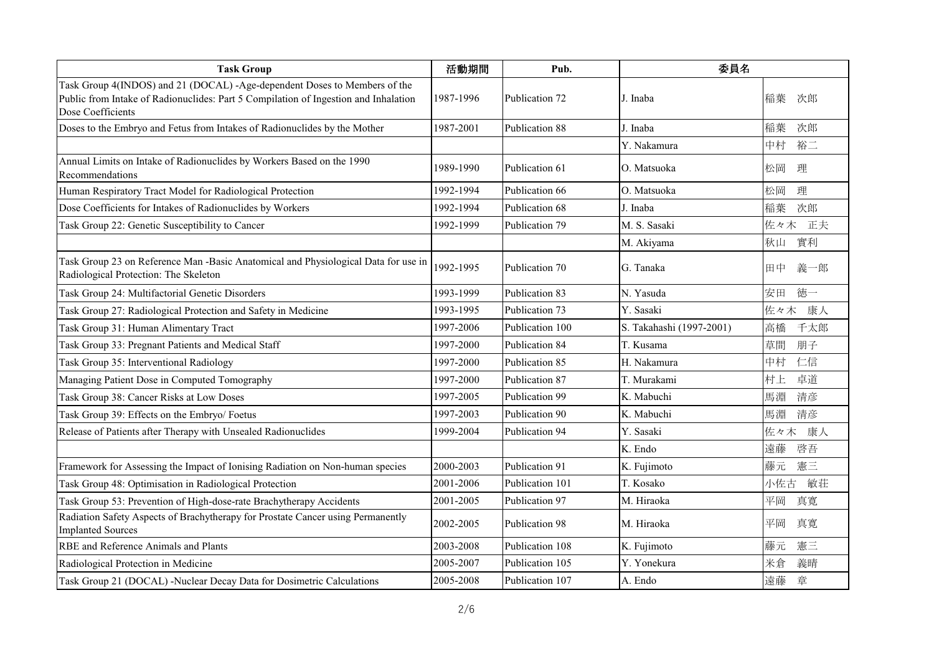| <b>Task Group</b>                                                                                                                                                                     | 活動期間      | Pub.            | 委員名                      |           |
|---------------------------------------------------------------------------------------------------------------------------------------------------------------------------------------|-----------|-----------------|--------------------------|-----------|
| Task Group 4(INDOS) and 21 (DOCAL) -Age-dependent Doses to Members of the<br>Public from Intake of Radionuclides: Part 5 Compilation of Ingestion and Inhalation<br>Dose Coefficients | 1987-1996 | Publication 72  | J. Inaba                 | 稲葉<br>次郎  |
| Doses to the Embryo and Fetus from Intakes of Radionuclides by the Mother                                                                                                             | 1987-2001 | Publication 88  | J. Inaba                 | 稲葉<br>次郎  |
|                                                                                                                                                                                       |           |                 | Y. Nakamura              | 中村<br>裕二  |
| Annual Limits on Intake of Radionuclides by Workers Based on the 1990<br>Recommendations                                                                                              | 1989-1990 | Publication 61  | O. Matsuoka              | 松岡<br>理   |
| Human Respiratory Tract Model for Radiological Protection                                                                                                                             | 1992-1994 | Publication 66  | O. Matsuoka              | 松岡<br>理   |
| Dose Coefficients for Intakes of Radionuclides by Workers                                                                                                                             | 1992-1994 | Publication 68  | J. Inaba                 | 次郎<br>稲葉  |
| Task Group 22: Genetic Susceptibility to Cancer                                                                                                                                       | 1992-1999 | Publication 79  | M. S. Sasaki             | 正夫<br>佐々木 |
|                                                                                                                                                                                       |           |                 | M. Akiyama               | 實利<br>秋山  |
| Task Group 23 on Reference Man -Basic Anatomical and Physiological Data for use in<br>Radiological Protection: The Skeleton                                                           | 1992-1995 | Publication 70  | G. Tanaka                | 田中<br>義一郎 |
| Task Group 24: Multifactorial Genetic Disorders                                                                                                                                       | 1993-1999 | Publication 83  | N. Yasuda                | 徳一<br>安田  |
| Task Group 27: Radiological Protection and Safety in Medicine                                                                                                                         | 1993-1995 | Publication 73  | Y. Sasaki                | 佐々木<br>康人 |
| Task Group 31: Human Alimentary Tract                                                                                                                                                 | 1997-2006 | Publication 100 | S. Takahashi (1997-2001) | 高橋<br>千太郎 |
| Task Group 33: Pregnant Patients and Medical Staff                                                                                                                                    | 1997-2000 | Publication 84  | T. Kusama                | 草間<br>朋子  |
| Task Group 35: Interventional Radiology                                                                                                                                               | 1997-2000 | Publication 85  | H. Nakamura              | 中村<br>仁信  |
| Managing Patient Dose in Computed Tomography                                                                                                                                          | 1997-2000 | Publication 87  | T. Murakami              | 村上<br>卓道  |
| Task Group 38: Cancer Risks at Low Doses                                                                                                                                              | 1997-2005 | Publication 99  | K. Mabuchi               | 馬淵<br>清彦  |
| Task Group 39: Effects on the Embryo/ Foetus                                                                                                                                          | 1997-2003 | Publication 90  | K. Mabuchi               | 清彦<br>馬淵  |
| Release of Patients after Therapy with Unsealed Radionuclides                                                                                                                         | 1999-2004 | Publication 94  | Y. Sasaki                | 佐々木<br>康人 |
|                                                                                                                                                                                       |           |                 | K. Endo                  | 遠藤<br>啓吾  |
| Framework for Assessing the Impact of Ionising Radiation on Non-human species                                                                                                         | 2000-2003 | Publication 91  | K. Fujimoto              | 藤元<br>憲三  |
| Task Group 48: Optimisation in Radiological Protection                                                                                                                                | 2001-2006 | Publication 101 | T. Kosako                | 敏荘<br>小佐古 |
| Task Group 53: Prevention of High-dose-rate Brachytherapy Accidents                                                                                                                   | 2001-2005 | Publication 97  | M. Hiraoka               | 平岡<br>真寛  |
| Radiation Safety Aspects of Brachytherapy for Prostate Cancer using Permanently<br><b>Implanted Sources</b>                                                                           | 2002-2005 | Publication 98  | M. Hiraoka               | 平岡<br>真寛  |
| RBE and Reference Animals and Plants                                                                                                                                                  | 2003-2008 | Publication 108 | K. Fujimoto              | 藤元<br>憲三  |
| Radiological Protection in Medicine                                                                                                                                                   | 2005-2007 | Publication 105 | Y. Yonekura              | 米倉<br>義晴  |
| Task Group 21 (DOCAL) -Nuclear Decay Data for Dosimetric Calculations                                                                                                                 | 2005-2008 | Publication 107 | A. Endo                  | 遠藤<br>章   |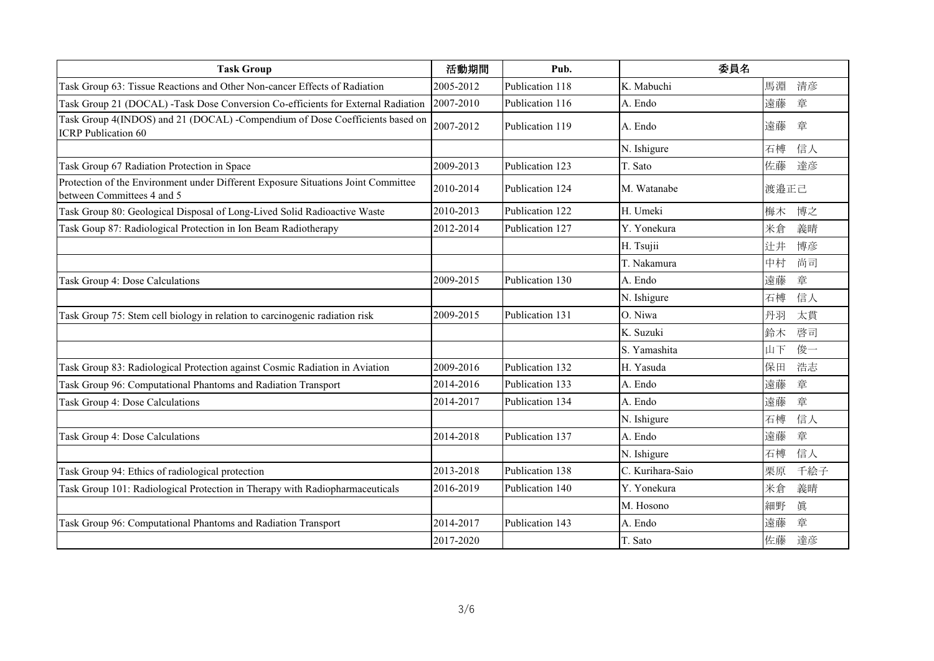| <b>Task Group</b>                                                                                               | 活動期間      | Pub.            | 委員名              |           |
|-----------------------------------------------------------------------------------------------------------------|-----------|-----------------|------------------|-----------|
| Task Group 63: Tissue Reactions and Other Non-cancer Effects of Radiation                                       | 2005-2012 | Publication 118 | K. Mabuchi       | 馬淵<br>清彦  |
| Task Group 21 (DOCAL) -Task Dose Conversion Co-efficients for External Radiation                                | 2007-2010 | Publication 116 | A. Endo          | 章<br>遠藤   |
| Task Group 4(INDOS) and 21 (DOCAL) -Compendium of Dose Coefficients based on<br><b>ICRP</b> Publication 60      | 2007-2012 | Publication 119 | A. Endo          | 遠藤<br>章   |
|                                                                                                                 |           |                 | N. Ishigure      | 石榑<br>信人  |
| Task Group 67 Radiation Protection in Space                                                                     | 2009-2013 | Publication 123 | T. Sato          | 佐藤<br>達彦  |
| Protection of the Environment under Different Exposure Situations Joint Committee<br>between Committees 4 and 5 | 2010-2014 | Publication 124 | M. Watanabe      | 渡邉正己      |
| Task Group 80: Geological Disposal of Long-Lived Solid Radioactive Waste                                        | 2010-2013 | Publication 122 | H. Umeki         | 博之<br>梅木  |
| Task Goup 87: Radiological Protection in Ion Beam Radiotherapy                                                  | 2012-2014 | Publication 127 | Y. Yonekura      | 米倉<br>義晴  |
|                                                                                                                 |           |                 | H. Tsujii        | 辻井<br>博彦  |
|                                                                                                                 |           |                 | T. Nakamura      | 尚司<br>中村  |
| Task Group 4: Dose Calculations                                                                                 | 2009-2015 | Publication 130 | A. Endo          | 遠藤<br>章   |
|                                                                                                                 |           |                 | N. Ishigure      | 石榑<br>信人  |
| Task Group 75: Stem cell biology in relation to carcinogenic radiation risk                                     | 2009-2015 | Publication 131 | O. Niwa          | 丹羽<br>太貫  |
|                                                                                                                 |           |                 | K. Suzuki        | 鈴木<br>啓司  |
|                                                                                                                 |           |                 | S. Yamashita     | 俊一<br>山下  |
| Task Group 83: Radiological Protection against Cosmic Radiation in Aviation                                     | 2009-2016 | Publication 132 | H. Yasuda        | 保田<br>浩志  |
| Task Group 96: Computational Phantoms and Radiation Transport                                                   | 2014-2016 | Publication 133 | A. Endo          | 遠藤<br>章   |
| Task Group 4: Dose Calculations                                                                                 | 2014-2017 | Publication 134 | A. Endo          | 章<br>遠藤   |
|                                                                                                                 |           |                 | N. Ishigure      | 信人<br>石榑  |
| Task Group 4: Dose Calculations                                                                                 | 2014-2018 | Publication 137 | A. Endo          | 遠藤<br>章   |
|                                                                                                                 |           |                 | N. Ishigure      | 信人<br>石榑  |
| Task Group 94: Ethics of radiological protection                                                                | 2013-2018 | Publication 138 | C. Kurihara-Saio | 千絵子<br>栗原 |
| Task Group 101: Radiological Protection in Therapy with Radiopharmaceuticals                                    | 2016-2019 | Publication 140 | Y. Yonekura      | 米倉<br>義晴  |
|                                                                                                                 |           |                 | M. Hosono        | 細野<br>眞   |
| Task Group 96: Computational Phantoms and Radiation Transport                                                   | 2014-2017 | Publication 143 | A. Endo          | 章<br>遠藤   |
|                                                                                                                 | 2017-2020 |                 | T. Sato          | 佐藤<br>達彦  |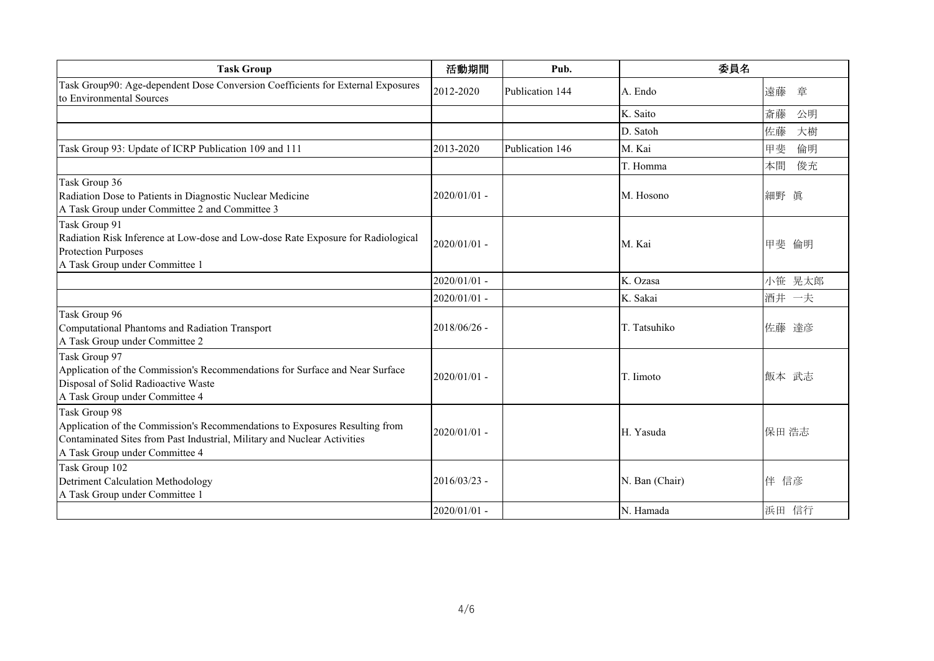| <b>Task Group</b>                                                                                                                                                                                          | 活動期間           | Pub.            | 委員名            |          |
|------------------------------------------------------------------------------------------------------------------------------------------------------------------------------------------------------------|----------------|-----------------|----------------|----------|
| Task Group90: Age-dependent Dose Conversion Coefficients for External Exposures<br>to Environmental Sources                                                                                                | 2012-2020      | Publication 144 | A. Endo        | 遠藤<br>章  |
|                                                                                                                                                                                                            |                |                 | K. Saito       | 斎藤<br>公明 |
|                                                                                                                                                                                                            |                |                 | D. Satoh       | 佐藤<br>大樹 |
| Task Group 93: Update of ICRP Publication 109 and 111                                                                                                                                                      | 2013-2020      | Publication 146 | M. Kai         | 甲斐<br>倫明 |
|                                                                                                                                                                                                            |                |                 | T. Homma       | 俊充<br>本間 |
| Task Group 36<br>Radiation Dose to Patients in Diagnostic Nuclear Medicine<br>A Task Group under Committee 2 and Committee 3                                                                               | 2020/01/01 -   |                 | M. Hosono      | 細野 眞     |
| Task Group 91<br>Radiation Risk Inference at Low-dose and Low-dose Rate Exposure for Radiological<br>Protection Purposes<br>A Task Group under Committee 1                                                 | 2020/01/01 -   |                 | M. Kai         | 甲斐 倫明    |
|                                                                                                                                                                                                            | 2020/01/01 -   |                 | K. Ozasa       | 小笹 晃太郎   |
|                                                                                                                                                                                                            | $2020/01/01$ - |                 | K. Sakai       | 酒井 一夫    |
| Task Group 96<br>Computational Phantoms and Radiation Transport<br>A Task Group under Committee 2                                                                                                          | $2018/06/26$ - |                 | T. Tatsuhiko   | 佐藤 達彦    |
| Task Group 97<br>Application of the Commission's Recommendations for Surface and Near Surface<br>Disposal of Solid Radioactive Waste<br>A Task Group under Committee 4                                     | $2020/01/01$ - |                 | T. Iimoto      | 飯本 武志    |
| Task Group 98<br>Application of the Commission's Recommendations to Exposures Resulting from<br>Contaminated Sites from Past Industrial, Military and Nuclear Activities<br>A Task Group under Committee 4 | $2020/01/01$ - |                 | H. Yasuda      | 保田 浩志    |
| Task Group 102<br><b>Detriment Calculation Methodology</b><br>A Task Group under Committee 1                                                                                                               | $2016/03/23$ - |                 | N. Ban (Chair) | 伴 信彦     |
|                                                                                                                                                                                                            | $2020/01/01$ - |                 | N. Hamada      | 浜田 信行    |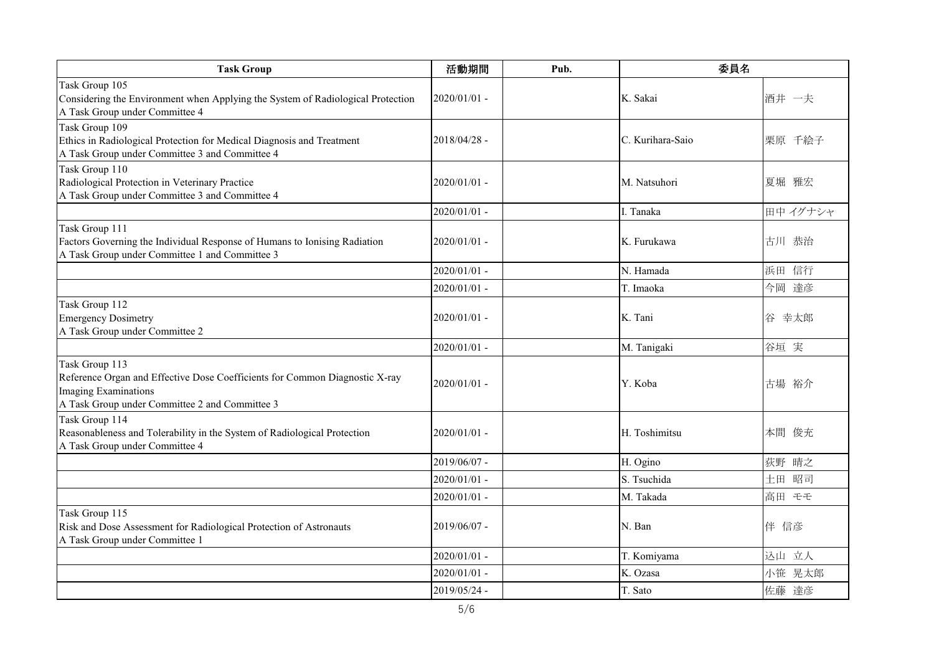| <b>Task Group</b>                                                                                                                                                              | 活動期間           | Pub. | 委員名              |         |
|--------------------------------------------------------------------------------------------------------------------------------------------------------------------------------|----------------|------|------------------|---------|
| Task Group 105<br>Considering the Environment when Applying the System of Radiological Protection<br>A Task Group under Committee 4                                            | 2020/01/01 -   |      | K. Sakai         | 酒井 一夫   |
| Task Group 109<br>Ethics in Radiological Protection for Medical Diagnosis and Treatment<br>A Task Group under Committee 3 and Committee 4                                      | 2018/04/28 -   |      | C. Kurihara-Saio | 栗原 千絵子  |
| Task Group 110<br>Radiological Protection in Veterinary Practice<br>A Task Group under Committee 3 and Committee 4                                                             | 2020/01/01 -   |      | M. Natsuhori     | 夏堀 雅宏   |
|                                                                                                                                                                                | 2020/01/01 -   |      | I. Tanaka        | 田中イグナシャ |
| Task Group 111<br>Factors Governing the Individual Response of Humans to Ionising Radiation<br>A Task Group under Committee 1 and Committee 3                                  | 2020/01/01 -   |      | K. Furukawa      | 古川 恭治   |
|                                                                                                                                                                                | 2020/01/01 -   |      | N. Hamada        | 浜田 信行   |
|                                                                                                                                                                                | 2020/01/01 -   |      | T. Imaoka        | 今岡 達彦   |
| Task Group 112<br><b>Emergency Dosimetry</b><br>A Task Group under Committee 2                                                                                                 | $2020/01/01$ - |      | K. Tani          | 谷 幸太郎   |
|                                                                                                                                                                                | $2020/01/01$ - |      | M. Tanigaki      | 谷垣 実    |
| Task Group 113<br>Reference Organ and Effective Dose Coefficients for Common Diagnostic X-ray<br><b>Imaging Examinations</b><br>A Task Group under Committee 2 and Committee 3 | $2020/01/01$ - |      | Y. Koba          | 古場 裕介   |
| Task Group 114<br>Reasonableness and Tolerability in the System of Radiological Protection<br>A Task Group under Committee 4                                                   | 2020/01/01 -   |      | H. Toshimitsu    | 本間 俊充   |
|                                                                                                                                                                                | 2019/06/07 -   |      | H. Ogino         | 荻野 晴之   |
|                                                                                                                                                                                | 2020/01/01 -   |      | S. Tsuchida      | 土田 昭司   |
|                                                                                                                                                                                | 2020/01/01 -   |      | M. Takada        | 高田 モモ   |
| Task Group 115<br>Risk and Dose Assessment for Radiological Protection of Astronauts<br>A Task Group under Committee 1                                                         | 2019/06/07 -   |      | N. Ban           | 伴 信彦    |
|                                                                                                                                                                                | $2020/01/01$ - |      | T. Komiyama      | 込山 立人   |
|                                                                                                                                                                                | 2020/01/01 -   |      | K. Ozasa         | 小笹 晃太郎  |
|                                                                                                                                                                                | 2019/05/24 -   |      | T. Sato          | 佐藤 達彦   |